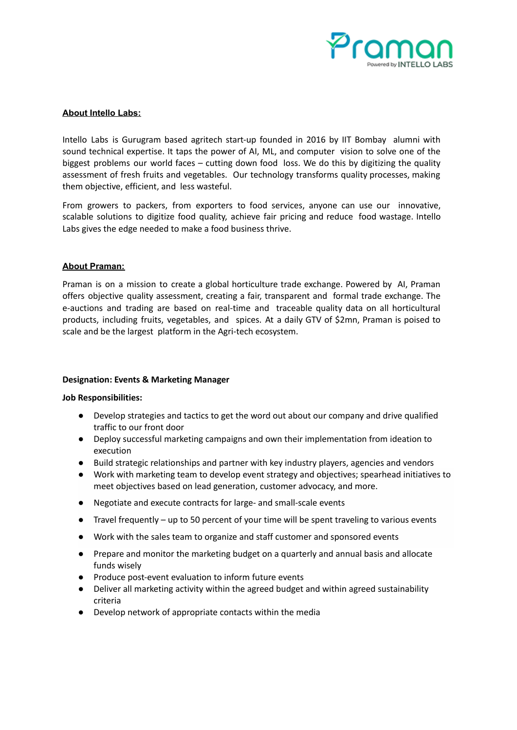

# **About Intello Labs:**

Intello Labs is Gurugram based agritech start-up founded in 2016 by IIT Bombay alumni with sound technical expertise. It taps the power of AI, ML, and computer vision to solve one of the biggest problems our world faces – cutting down food loss. We do this by digitizing the quality assessment of fresh fruits and vegetables. Our technology transforms quality processes, making them objective, efficient, and less wasteful.

From growers to packers, from exporters to food services, anyone can use our innovative, scalable solutions to digitize food quality, achieve fair pricing and reduce food wastage. Intello Labs gives the edge needed to make a food business thrive.

## **About Praman:**

Praman is on a mission to create a global horticulture trade exchange. Powered by AI, Praman offers objective quality assessment, creating a fair, transparent and formal trade exchange. The e-auctions and trading are based on real-time and traceable quality data on all horticultural products, including fruits, vegetables, and spices. At a daily GTV of \$2mn, Praman is poised to scale and be the largest platform in the Agri-tech ecosystem.

## **Designation: Events & Marketing Manager**

## **Job Responsibilities:**

- Develop strategies and tactics to get the word out about our company and drive qualified traffic to our front door
- Deploy successful marketing campaigns and own their implementation from ideation to execution
- Build strategic relationships and partner with key industry players, agencies and vendors
- Work with marketing team to develop event strategy and objectives; spearhead initiatives to meet objectives based on lead generation, customer advocacy, and more.
- Negotiate and execute contracts for large- and small-scale events
- $\bullet$  Travel frequently up to 50 percent of your time will be spent traveling to various events
- Work with the sales team to organize and staff customer and sponsored events
- Prepare and monitor the marketing budget on a quarterly and annual basis and allocate funds wisely
- Produce post-event evaluation to inform future events
- Deliver all marketing activity within the agreed budget and within agreed sustainability criteria
- Develop network of appropriate contacts within the media